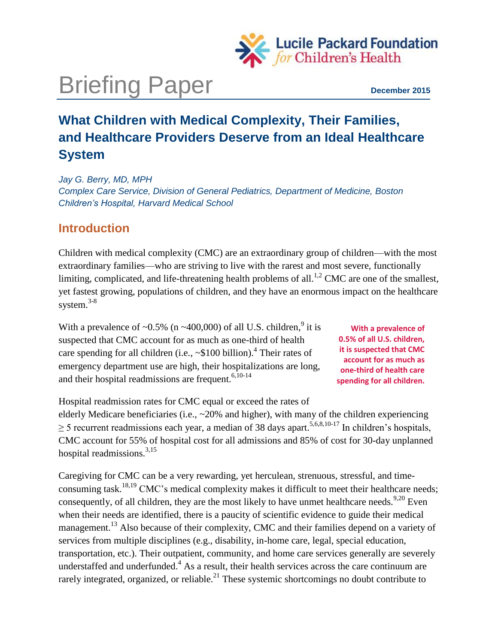

# Briefing Paper **December 2015**

# **What Children with Medical Complexity, Their Families, and Healthcare Providers Deserve from an Ideal Healthcare System**

*Jay G. Berry, MD, MPH Complex Care Service, Division of General Pediatrics, Department of Medicine, Boston Children's Hospital, Harvard Medical School*

# **Introduction**

Children with medical complexity (CMC) are an extraordinary group of children—with the most extraordinary families—who are striving to live with the rarest and most severe, functionally limiting, complicated, and life-threatening health problems of all.<sup>1,2</sup> CMC are one of the smallest, yet fastest growing, populations of children, and they have an enormous impact on the healthcare system. $3-8$ 

With a prevalence of  $\sim 0.5\%$  (n  $\sim 400,000$ ) of all U.S. children,<sup>9</sup> it is suspected that CMC account for as much as one-third of health care spending for all children (i.e.,  $\sim$ \$100 billion).<sup>4</sup> Their rates of emergency department use are high, their hospitalizations are long, and their hospital readmissions are frequent. $6,10-14$ 

**With a prevalence of 0.5% of all U.S. children, it is suspected that CMC account for as much as one-third of health care spending for all children.** 

Hospital readmission rates for CMC equal or exceed the rates of elderly Medicare beneficiaries (i.e., ~20% and higher), with many of the children experiencing  $\geq$  5 recurrent readmissions each year, a median of 38 days apart.<sup>5,6,8,10-17</sup> In children's hospitals, CMC account for 55% of hospital cost for all admissions and 85% of cost for 30-day unplanned hospital readmissions. $3,15$ 

Caregiving for CMC can be a very rewarding, yet herculean, strenuous, stressful, and timeconsuming task.<sup>18,19</sup> CMC's medical complexity makes it difficult to meet their healthcare needs; consequently, of all children, they are the most likely to have unmet healthcare needs.<sup>9,20</sup> Even when their needs are identified, there is a paucity of scientific evidence to guide their medical management.<sup>13</sup> Also because of their complexity, CMC and their families depend on a variety of services from multiple disciplines (e.g., disability, in-home care, legal, special education, transportation, etc.). Their outpatient, community, and home care services generally are severely understaffed and underfunded. $4$  As a result, their health services across the care continuum are rarely integrated, organized, or reliable.<sup>21</sup> These systemic shortcomings no doubt contribute to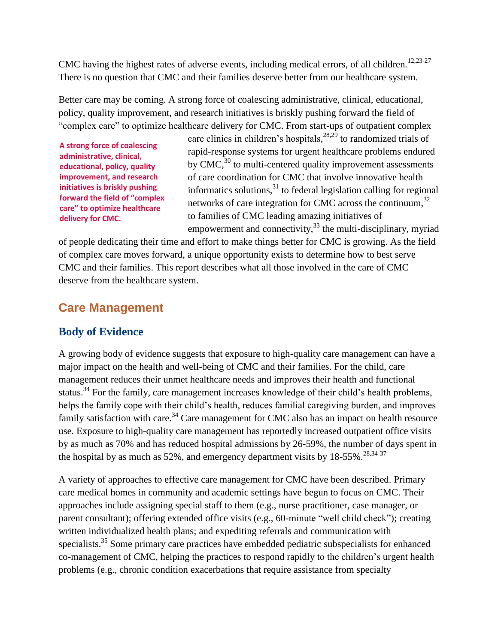CMC having the highest rates of adverse events, including medical errors, of all children.<sup>12,23-27</sup> There is no question that CMC and their families deserve better from our healthcare system.

Better care may be coming. A strong force of coalescing administrative, clinical, educational, policy, quality improvement, and research initiatives is briskly pushing forward the field of "complex care" to optimize healthcare delivery for CMC. From start-ups of outpatient complex

**A strong force of coalescing administrative, clinical, educational, policy, quality improvement, and research initiatives is briskly pushing forward the field of "complex care" to optimize healthcare delivery for CMC.** 

care clinics in children's hospitals,<sup>28,29</sup> to randomized trials of rapid-response systems for urgent healthcare problems endured by CMC, $30$  to multi-centered quality improvement assessments of care coordination for CMC that involve innovative health informatics solutions,<sup>31</sup> to federal legislation calling for regional networks of care integration for CMC across the continuum,<sup>32</sup> to families of CMC leading amazing initiatives of empowerment and connectivity, $33$  the multi-disciplinary, myriad

of people dedicating their time and effort to make things better for CMC is growing. As the field of complex care moves forward, a unique opportunity exists to determine how to best serve CMC and their families. This report describes what all those involved in the care of CMC deserve from the healthcare system.

# **Care Management**

#### **Body of Evidence**

A growing body of evidence suggests that exposure to high-quality care management can have a major impact on the health and well-being of CMC and their families. For the child, care management reduces their unmet healthcare needs and improves their health and functional status.<sup>34</sup> For the family, care management increases knowledge of their child's health problems, helps the family cope with their child's health, reduces familial caregiving burden, and improves family satisfaction with care.<sup>34</sup> Care management for CMC also has an impact on health resource use. Exposure to high-quality care management has reportedly increased outpatient office visits by as much as 70% and has reduced hospital admissions by 26-59%, the number of days spent in the hospital by as much as  $52\%$ , and emergency department visits by  $18-55\%$ .  $28,34-37$ 

A variety of approaches to effective care management for CMC have been described. Primary care medical homes in community and academic settings have begun to focus on CMC. Their approaches include assigning special staff to them (e.g., nurse practitioner, case manager, or parent consultant); offering extended office visits (e.g., 60-minute "well child check"); creating written individualized health plans; and expediting referrals and communication with specialists.<sup>35</sup> Some primary care practices have embedded pediatric subspecialists for enhanced co-management of CMC, helping the practices to respond rapidly to the children's urgent health problems (e.g., chronic condition exacerbations that require assistance from specialty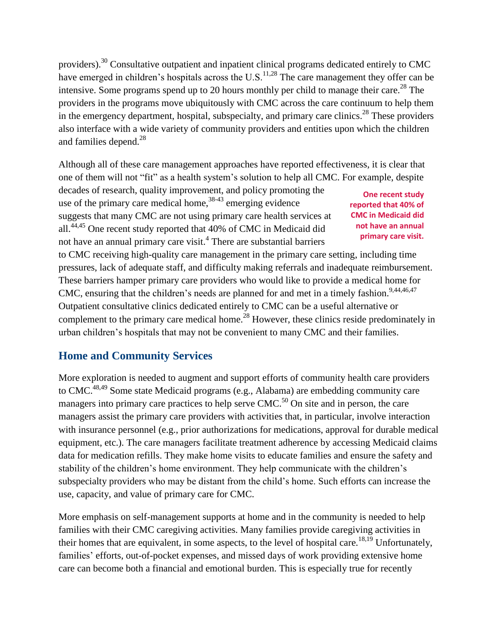providers).<sup>30</sup> Consultative outpatient and inpatient clinical programs dedicated entirely to CMC have emerged in children's hospitals across the U.S.<sup>11,28</sup> The care management they offer can be intensive. Some programs spend up to 20 hours monthly per child to manage their care.<sup>28</sup> The providers in the programs move ubiquitously with CMC across the care continuum to help them in the emergency department, hospital, subspecialty, and primary care clinics.<sup>28</sup> These providers also interface with a wide variety of community providers and entities upon which the children and families depend.<sup>28</sup>

Although all of these care management approaches have reported effectiveness, it is clear that one of them will not "fit" as a health system's solution to help all CMC. For example, despite

decades of research, quality improvement, and policy promoting the use of the primary care medical home,<sup>38-43</sup> emerging evidence suggests that many CMC are not using primary care health services at all.44,45 One recent study reported that 40% of CMC in Medicaid did not have an annual primary care visit.<sup>4</sup> There are substantial barriers

**One recent study reported that 40% of CMC in Medicaid did not have an annual primary care visit.** 

to CMC receiving high-quality care management in the primary care setting, including time pressures, lack of adequate staff, and difficulty making referrals and inadequate reimbursement. These barriers hamper primary care providers who would like to provide a medical home for CMC, ensuring that the children's needs are planned for and met in a timely fashion.<sup>9,44,46,47</sup> Outpatient consultative clinics dedicated entirely to CMC can be a useful alternative or complement to the primary care medical home.<sup>28</sup> However, these clinics reside predominately in urban children's hospitals that may not be convenient to many CMC and their families.

#### **Home and Community Services**

More exploration is needed to augment and support efforts of community health care providers to CMC.<sup>48,49</sup> Some state Medicaid programs (e.g., Alabama) are embedding community care managers into primary care practices to help serve  $CMC<sup>50</sup>$  On site and in person, the care managers assist the primary care providers with activities that, in particular, involve interaction with insurance personnel (e.g., prior authorizations for medications, approval for durable medical equipment, etc.). The care managers facilitate treatment adherence by accessing Medicaid claims data for medication refills. They make home visits to educate families and ensure the safety and stability of the children's home environment. They help communicate with the children's subspecialty providers who may be distant from the child's home. Such efforts can increase the use, capacity, and value of primary care for CMC.

More emphasis on self-management supports at home and in the community is needed to help families with their CMC caregiving activities. Many families provide caregiving activities in their homes that are equivalent, in some aspects, to the level of hospital care.<sup>18,19</sup> Unfortunately, families' efforts, out-of-pocket expenses, and missed days of work providing extensive home care can become both a financial and emotional burden. This is especially true for recently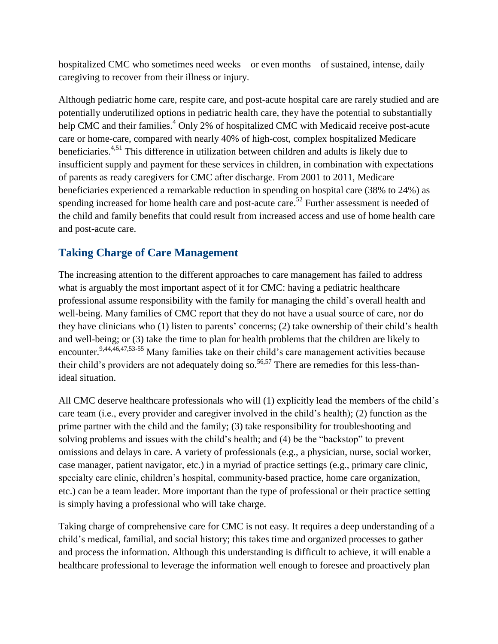hospitalized CMC who sometimes need weeks—or even months—of sustained, intense, daily caregiving to recover from their illness or injury.

Although pediatric home care, respite care, and post-acute hospital care are rarely studied and are potentially underutilized options in pediatric health care, they have the potential to substantially help CMC and their families.<sup>4</sup> Only 2% of hospitalized CMC with Medicaid receive post-acute care or home-care, compared with nearly 40% of high-cost, complex hospitalized Medicare beneficiaries.<sup>4,51</sup> This difference in utilization between children and adults is likely due to insufficient supply and payment for these services in children, in combination with expectations of parents as ready caregivers for CMC after discharge. From 2001 to 2011, Medicare beneficiaries experienced a remarkable reduction in spending on hospital care (38% to 24%) as spending increased for home health care and post-acute care.<sup>52</sup> Further assessment is needed of the child and family benefits that could result from increased access and use of home health care and post-acute care.

## **Taking Charge of Care Management**

The increasing attention to the different approaches to care management has failed to address what is arguably the most important aspect of it for CMC: having a pediatric healthcare professional assume responsibility with the family for managing the child's overall health and well-being. Many families of CMC report that they do not have a usual source of care, nor do they have clinicians who (1) listen to parents' concerns; (2) take ownership of their child's health and well-being; or (3) take the time to plan for health problems that the children are likely to encounter.<sup>9,44,46,47,53-55</sup> Many families take on their child's care management activities because their child's providers are not adequately doing so.<sup>56,57</sup> There are remedies for this less-thanideal situation.

All CMC deserve healthcare professionals who will (1) explicitly lead the members of the child's care team (i.e., every provider and caregiver involved in the child's health); (2) function as the prime partner with the child and the family; (3) take responsibility for troubleshooting and solving problems and issues with the child's health; and (4) be the "backstop" to prevent omissions and delays in care. A variety of professionals (e.g., a physician, nurse, social worker, case manager, patient navigator, etc.) in a myriad of practice settings (e.g., primary care clinic, specialty care clinic, children's hospital, community-based practice, home care organization, etc.) can be a team leader. More important than the type of professional or their practice setting is simply having a professional who will take charge.

Taking charge of comprehensive care for CMC is not easy. It requires a deep understanding of a child's medical, familial, and social history; this takes time and organized processes to gather and process the information. Although this understanding is difficult to achieve, it will enable a healthcare professional to leverage the information well enough to foresee and proactively plan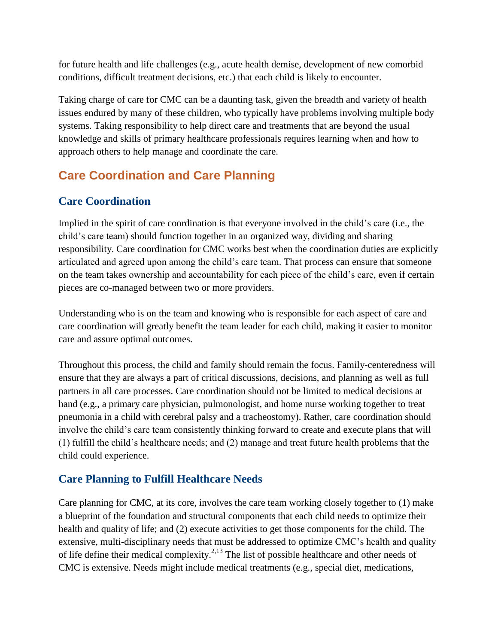for future health and life challenges (e.g., acute health demise, development of new comorbid conditions, difficult treatment decisions, etc.) that each child is likely to encounter.

Taking charge of care for CMC can be a daunting task, given the breadth and variety of health issues endured by many of these children, who typically have problems involving multiple body systems. Taking responsibility to help direct care and treatments that are beyond the usual knowledge and skills of primary healthcare professionals requires learning when and how to approach others to help manage and coordinate the care.

# **Care Coordination and Care Planning**

## **Care Coordination**

Implied in the spirit of care coordination is that everyone involved in the child's care (i.e., the child's care team) should function together in an organized way, dividing and sharing responsibility. Care coordination for CMC works best when the coordination duties are explicitly articulated and agreed upon among the child's care team. That process can ensure that someone on the team takes ownership and accountability for each piece of the child's care, even if certain pieces are co-managed between two or more providers.

Understanding who is on the team and knowing who is responsible for each aspect of care and care coordination will greatly benefit the team leader for each child, making it easier to monitor care and assure optimal outcomes.

Throughout this process, the child and family should remain the focus. Family-centeredness will ensure that they are always a part of critical discussions, decisions, and planning as well as full partners in all care processes. Care coordination should not be limited to medical decisions at hand (e.g., a primary care physician, pulmonologist, and home nurse working together to treat pneumonia in a child with cerebral palsy and a tracheostomy). Rather, care coordination should involve the child's care team consistently thinking forward to create and execute plans that will (1) fulfill the child's healthcare needs; and (2) manage and treat future health problems that the child could experience.

#### **Care Planning to Fulfill Healthcare Needs**

Care planning for CMC, at its core, involves the care team working closely together to (1) make a blueprint of the foundation and structural components that each child needs to optimize their health and quality of life; and (2) execute activities to get those components for the child. The extensive, multi-disciplinary needs that must be addressed to optimize CMC's health and quality of life define their medical complexity.<sup>2,13</sup> The list of possible healthcare and other needs of CMC is extensive. Needs might include medical treatments (e.g., special diet, medications,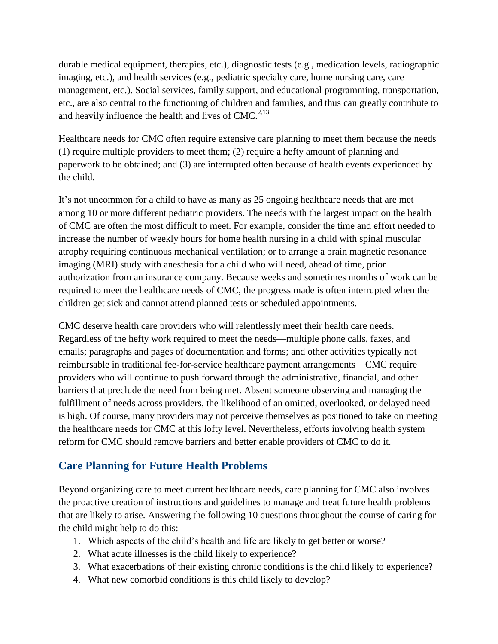durable medical equipment, therapies, etc.), diagnostic tests (e.g., medication levels, radiographic imaging, etc.), and health services (e.g., pediatric specialty care, home nursing care, care management, etc.). Social services, family support, and educational programming, transportation, etc., are also central to the functioning of children and families, and thus can greatly contribute to and heavily influence the health and lives of  $CMC<sup>2,13</sup>$ 

Healthcare needs for CMC often require extensive care planning to meet them because the needs (1) require multiple providers to meet them; (2) require a hefty amount of planning and paperwork to be obtained; and (3) are interrupted often because of health events experienced by the child.

It's not uncommon for a child to have as many as 25 ongoing healthcare needs that are met among 10 or more different pediatric providers. The needs with the largest impact on the health of CMC are often the most difficult to meet. For example, consider the time and effort needed to increase the number of weekly hours for home health nursing in a child with spinal muscular atrophy requiring continuous mechanical ventilation; or to arrange a brain magnetic resonance imaging (MRI) study with anesthesia for a child who will need, ahead of time, prior authorization from an insurance company. Because weeks and sometimes months of work can be required to meet the healthcare needs of CMC, the progress made is often interrupted when the children get sick and cannot attend planned tests or scheduled appointments.

CMC deserve health care providers who will relentlessly meet their health care needs. Regardless of the hefty work required to meet the needs—multiple phone calls, faxes, and emails; paragraphs and pages of documentation and forms; and other activities typically not reimbursable in traditional fee-for-service healthcare payment arrangements—CMC require providers who will continue to push forward through the administrative, financial, and other barriers that preclude the need from being met. Absent someone observing and managing the fulfillment of needs across providers, the likelihood of an omitted, overlooked, or delayed need is high. Of course, many providers may not perceive themselves as positioned to take on meeting the healthcare needs for CMC at this lofty level. Nevertheless, efforts involving health system reform for CMC should remove barriers and better enable providers of CMC to do it.

#### **Care Planning for Future Health Problems**

Beyond organizing care to meet current healthcare needs, care planning for CMC also involves the proactive creation of instructions and guidelines to manage and treat future health problems that are likely to arise. Answering the following 10 questions throughout the course of caring for the child might help to do this:

- 1. Which aspects of the child's health and life are likely to get better or worse?
- 2. What acute illnesses is the child likely to experience?
- 3. What exacerbations of their existing chronic conditions is the child likely to experience?
- 4. What new comorbid conditions is this child likely to develop?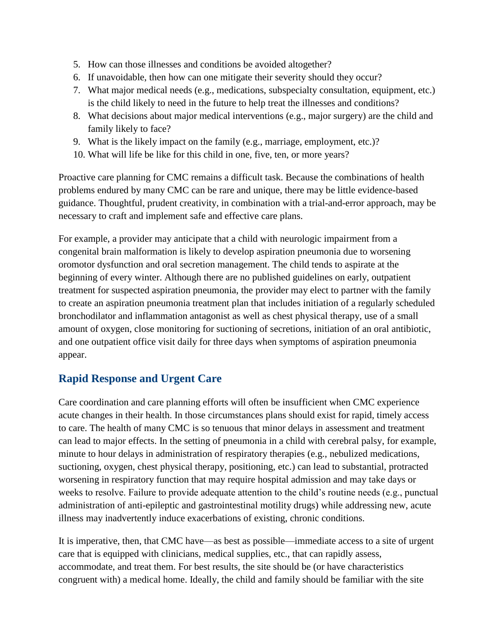- 5. How can those illnesses and conditions be avoided altogether?
- 6. If unavoidable, then how can one mitigate their severity should they occur?
- 7. What major medical needs (e.g., medications, subspecialty consultation, equipment, etc.) is the child likely to need in the future to help treat the illnesses and conditions?
- 8. What decisions about major medical interventions (e.g., major surgery) are the child and family likely to face?
- 9. What is the likely impact on the family (e.g., marriage, employment, etc.)?
- 10. What will life be like for this child in one, five, ten, or more years?

Proactive care planning for CMC remains a difficult task. Because the combinations of health problems endured by many CMC can be rare and unique, there may be little evidence-based guidance. Thoughtful, prudent creativity, in combination with a trial-and-error approach, may be necessary to craft and implement safe and effective care plans.

For example, a provider may anticipate that a child with neurologic impairment from a congenital brain malformation is likely to develop aspiration pneumonia due to worsening oromotor dysfunction and oral secretion management. The child tends to aspirate at the beginning of every winter. Although there are no published guidelines on early, outpatient treatment for suspected aspiration pneumonia, the provider may elect to partner with the family to create an aspiration pneumonia treatment plan that includes initiation of a regularly scheduled bronchodilator and inflammation antagonist as well as chest physical therapy, use of a small amount of oxygen, close monitoring for suctioning of secretions, initiation of an oral antibiotic, and one outpatient office visit daily for three days when symptoms of aspiration pneumonia appear.

#### **Rapid Response and Urgent Care**

Care coordination and care planning efforts will often be insufficient when CMC experience acute changes in their health. In those circumstances plans should exist for rapid, timely access to care. The health of many CMC is so tenuous that minor delays in assessment and treatment can lead to major effects. In the setting of pneumonia in a child with cerebral palsy, for example, minute to hour delays in administration of respiratory therapies (e.g., nebulized medications, suctioning, oxygen, chest physical therapy, positioning, etc.) can lead to substantial, protracted worsening in respiratory function that may require hospital admission and may take days or weeks to resolve. Failure to provide adequate attention to the child's routine needs (e.g., punctual administration of anti-epileptic and gastrointestinal motility drugs) while addressing new, acute illness may inadvertently induce exacerbations of existing, chronic conditions.

It is imperative, then, that CMC have—as best as possible—immediate access to a site of urgent care that is equipped with clinicians, medical supplies, etc., that can rapidly assess, accommodate, and treat them. For best results, the site should be (or have characteristics congruent with) a medical home. Ideally, the child and family should be familiar with the site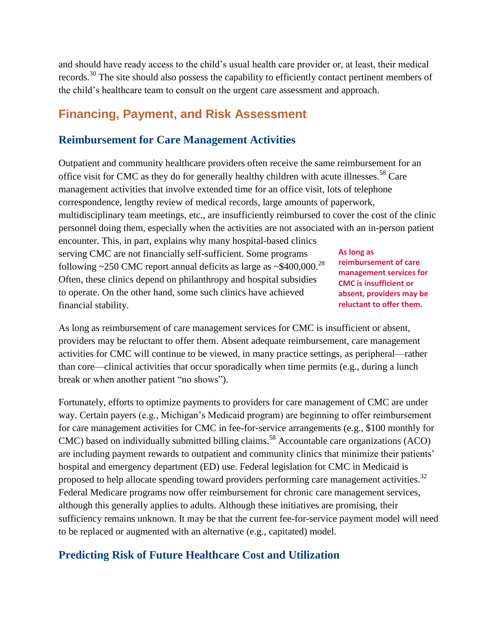and should have ready access to the child's usual health care provider or, at least, their medical records.<sup>30</sup> The site should also possess the capability to efficiently contact pertinent members of the child's healthcare team to consult on the urgent care assessment and approach.

# **Financing, Payment, and Risk Assessment**

#### **Reimbursement for Care Management Activities**

Outpatient and community healthcare providers often receive the same reimbursement for an office visit for CMC as they do for generally healthy children with acute illnesses.<sup>58</sup> Care management activities that involve extended time for an office visit, lots of telephone correspondence, lengthy review of medical records, large amounts of paperwork, multidisciplinary team meetings, etc., are insufficiently reimbursed to cover the cost of the clinic personnel doing them, especially when the activities are not associated with an in-person patient encounter. This, in part, explains why many hospital-based clinics serving CMC are not financially self-sufficient. Some programs following ~250 CMC report annual deficits as large as ~\$400,000.<sup>28</sup> Often, these clinics depend on philanthropy and hospital subsidies to operate. On the other hand, some such clinics have achieved financial stability. **As long as reimbursement of care management services for CMC is insufficient or absent, providers may be reluctant to offer them.** 

As long as reimbursement of care management services for CMC is insufficient or absent, providers may be reluctant to offer them. Absent adequate reimbursement, care management activities for CMC will continue to be viewed, in many practice settings, as peripheral—rather than core—clinical activities that occur sporadically when time permits (e.g., during a lunch break or when another patient "no shows").

Fortunately, efforts to optimize payments to providers for care management of CMC are under way. Certain payers (e.g., Michigan's Medicaid program) are beginning to offer reimbursement for care management activities for CMC in fee-for-service arrangements (e.g., \$100 monthly for CMC) based on individually submitted billing claims.<sup>58</sup> Accountable care organizations (ACO) are including payment rewards to outpatient and community clinics that minimize their patients' hospital and emergency department (ED) use. Federal legislation for CMC in Medicaid is proposed to help allocate spending toward providers performing care management activities.<sup>32</sup> Federal Medicare programs now offer reimbursement for chronic care management services, although this generally applies to adults. Although these initiatives are promising, their sufficiency remains unknown. It may be that the current fee-for-service payment model will need to be replaced or augmented with an alternative (e.g., capitated) model.

#### **Predicting Risk of Future Healthcare Cost and Utilization**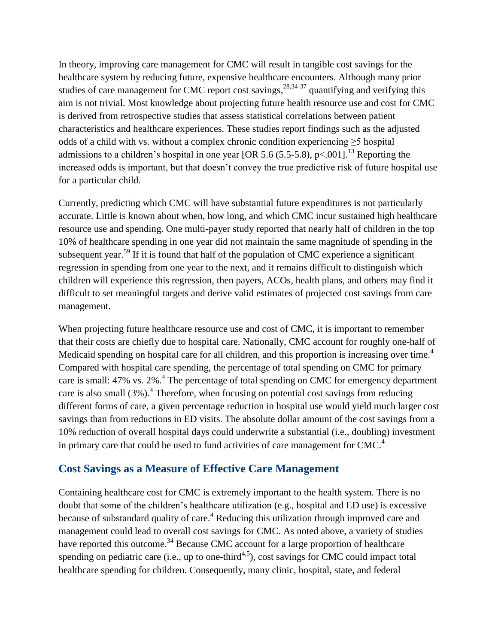In theory, improving care management for CMC will result in tangible cost savings for the healthcare system by reducing future, expensive healthcare encounters. Although many prior studies of care management for CMC report cost savings,  $28,34-37$  quantifying and verifying this aim is not trivial. Most knowledge about projecting future health resource use and cost for CMC is derived from retrospective studies that assess statistical correlations between patient characteristics and healthcare experiences. These studies report findings such as the adjusted odds of a child with vs. without a complex chronic condition experiencing ≥5 hospital admissions to a children's hospital in one year [OR 5.6 (5.5-5.8), p<.001].<sup>13</sup> Reporting the increased odds is important, but that doesn't convey the true predictive risk of future hospital use for a particular child.

Currently, predicting which CMC will have substantial future expenditures is not particularly accurate. Little is known about when, how long, and which CMC incur sustained high healthcare resource use and spending. One multi-payer study reported that nearly half of children in the top 10% of healthcare spending in one year did not maintain the same magnitude of spending in the subsequent year.<sup>59</sup> If it is found that half of the population of CMC experience a significant regression in spending from one year to the next, and it remains difficult to distinguish which children will experience this regression, then payers, ACOs, health plans, and others may find it difficult to set meaningful targets and derive valid estimates of projected cost savings from care management.

When projecting future healthcare resource use and cost of CMC, it is important to remember that their costs are chiefly due to hospital care. Nationally, CMC account for roughly one-half of Medicaid spending on hospital care for all children, and this proportion is increasing over time.<sup>4</sup> Compared with hospital care spending, the percentage of total spending on CMC for primary care is small: 47% vs.  $2\%$ .<sup>4</sup> The percentage of total spending on CMC for emergency department care is also small  $(3%)$ .<sup>4</sup> Therefore, when focusing on potential cost savings from reducing different forms of care, a given percentage reduction in hospital use would yield much larger cost savings than from reductions in ED visits. The absolute dollar amount of the cost savings from a 10% reduction of overall hospital days could underwrite a substantial (i.e., doubling) investment in primary care that could be used to fund activities of care management for  $CMC<sup>4</sup>$ .

#### **Cost Savings as a Measure of Effective Care Management**

Containing healthcare cost for CMC is extremely important to the health system. There is no doubt that some of the children's healthcare utilization (e.g., hospital and ED use) is excessive because of substandard quality of care.<sup>4</sup> Reducing this utilization through improved care and management could lead to overall cost savings for CMC. As noted above, a variety of studies have reported this outcome.<sup>34</sup> Because CMC account for a large proportion of healthcare spending on pediatric care (i.e., up to one-third<sup>4,5</sup>), cost savings for CMC could impact total healthcare spending for children. Consequently, many clinic, hospital, state, and federal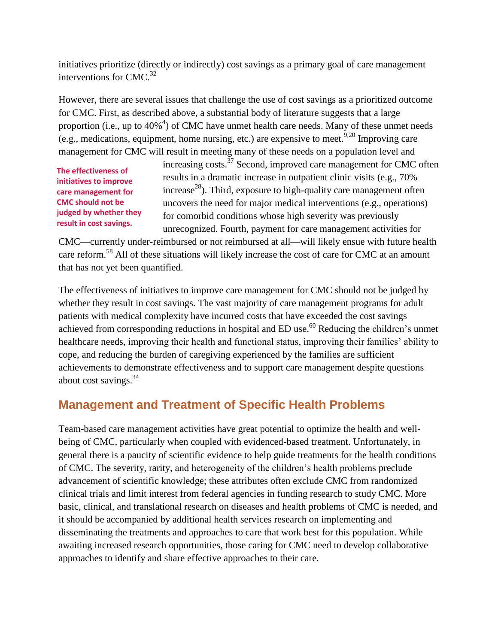initiatives prioritize (directly or indirectly) cost savings as a primary goal of care management interventions for CMC. 32

However, there are several issues that challenge the use of cost savings as a prioritized outcome for CMC. First, as described above, a substantial body of literature suggests that a large proportion (i.e., up to  $40\%$ <sup>4</sup>) of CMC have unmet health care needs. Many of these unmet needs (e.g., medications, equipment, home nursing, etc.) are expensive to meet.  $9,20$  Improving care management for CMC will result in meeting many of these needs on a population level and

**The effectiveness of initiatives to improve care management for CMC should not be judged by whether they result in cost savings.** 

increasing costs.<sup>37</sup> Second, improved care management for CMC often results in a dramatic increase in outpatient clinic visits (e.g., 70%  $i$  increase<sup>28</sup>). Third, exposure to high-quality care management often uncovers the need for major medical interventions (e.g., operations) for comorbid conditions whose high severity was previously unrecognized. Fourth, payment for care management activities for

CMC—currently under-reimbursed or not reimbursed at all—will likely ensue with future health care reform.<sup>58</sup> All of these situations will likely increase the cost of care for CMC at an amount that has not yet been quantified.

The effectiveness of initiatives to improve care management for CMC should not be judged by whether they result in cost savings. The vast majority of care management programs for adult patients with medical complexity have incurred costs that have exceeded the cost savings achieved from corresponding reductions in hospital and ED use.<sup>60</sup> Reducing the children's unmet healthcare needs, improving their health and functional status, improving their families' ability to cope, and reducing the burden of caregiving experienced by the families are sufficient achievements to demonstrate effectiveness and to support care management despite questions about cost savings.<sup>34</sup>

# **Management and Treatment of Specific Health Problems**

Team-based care management activities have great potential to optimize the health and wellbeing of CMC, particularly when coupled with evidenced-based treatment. Unfortunately, in general there is a paucity of scientific evidence to help guide treatments for the health conditions of CMC. The severity, rarity, and heterogeneity of the children's health problems preclude advancement of scientific knowledge; these attributes often exclude CMC from randomized clinical trials and limit interest from federal agencies in funding research to study CMC. More basic, clinical, and translational research on diseases and health problems of CMC is needed, and it should be accompanied by additional health services research on implementing and disseminating the treatments and approaches to care that work best for this population. While awaiting increased research opportunities, those caring for CMC need to develop collaborative approaches to identify and share effective approaches to their care.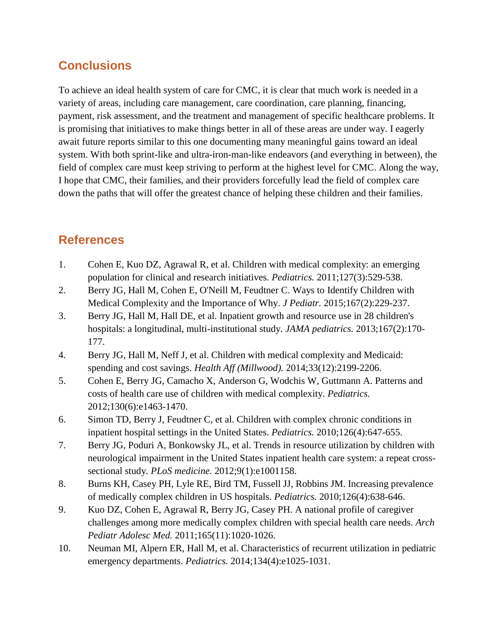# **Conclusions**

To achieve an ideal health system of care for CMC, it is clear that much work is needed in a variety of areas, including care management, care coordination, care planning, financing, payment, risk assessment, and the treatment and management of specific healthcare problems. It is promising that initiatives to make things better in all of these areas are under way. I eagerly await future reports similar to this one documenting many meaningful gains toward an ideal system. With both sprint-like and ultra-iron-man-like endeavors (and everything in between), the field of complex care must keep striving to perform at the highest level for CMC. Along the way, I hope that CMC, their families, and their providers forcefully lead the field of complex care down the paths that will offer the greatest chance of helping these children and their families.

# **References**

- 1. Cohen E, Kuo DZ, Agrawal R, et al. Children with medical complexity: an emerging population for clinical and research initiatives. *Pediatrics.* 2011;127(3):529-538.
- 2. Berry JG, Hall M, Cohen E, O'Neill M, Feudtner C. Ways to Identify Children with Medical Complexity and the Importance of Why. *J Pediatr.* 2015;167(2):229-237.
- 3. Berry JG, Hall M, Hall DE, et al. Inpatient growth and resource use in 28 children's hospitals: a longitudinal, multi-institutional study. *JAMA pediatrics.* 2013;167(2):170- 177.
- 4. Berry JG, Hall M, Neff J, et al. Children with medical complexity and Medicaid: spending and cost savings. *Health Aff (Millwood).* 2014;33(12):2199-2206.
- 5. Cohen E, Berry JG, Camacho X, Anderson G, Wodchis W, Guttmann A. Patterns and costs of health care use of children with medical complexity. *Pediatrics.*  2012;130(6):e1463-1470.
- 6. Simon TD, Berry J, Feudtner C, et al. Children with complex chronic conditions in inpatient hospital settings in the United States. *Pediatrics.* 2010;126(4):647-655.
- 7. Berry JG, Poduri A, Bonkowsky JL, et al. Trends in resource utilization by children with neurological impairment in the United States inpatient health care system: a repeat crosssectional study. *PLoS medicine.* 2012;9(1):e1001158.
- 8. Burns KH, Casey PH, Lyle RE, Bird TM, Fussell JJ, Robbins JM. Increasing prevalence of medically complex children in US hospitals. *Pediatrics.* 2010;126(4):638-646.
- 9. Kuo DZ, Cohen E, Agrawal R, Berry JG, Casey PH. A national profile of caregiver challenges among more medically complex children with special health care needs. *Arch Pediatr Adolesc Med.* 2011;165(11):1020-1026.
- 10. Neuman MI, Alpern ER, Hall M, et al. Characteristics of recurrent utilization in pediatric emergency departments. *Pediatrics.* 2014;134(4):e1025-1031.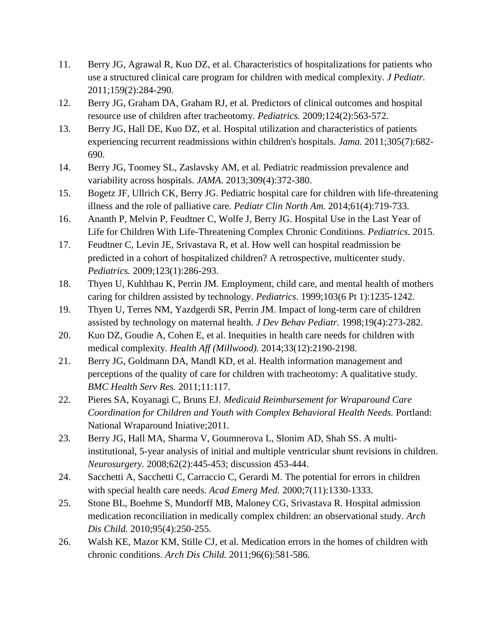- 11. Berry JG, Agrawal R, Kuo DZ, et al. Characteristics of hospitalizations for patients who use a structured clinical care program for children with medical complexity. *J Pediatr.*  2011;159(2):284-290.
- 12. Berry JG, Graham DA, Graham RJ, et al. Predictors of clinical outcomes and hospital resource use of children after tracheotomy. *Pediatrics.* 2009;124(2):563-572.
- 13. Berry JG, Hall DE, Kuo DZ, et al. Hospital utilization and characteristics of patients experiencing recurrent readmissions within children's hospitals. *Jama.* 2011;305(7):682- 690.
- 14. Berry JG, Toomey SL, Zaslavsky AM, et al. Pediatric readmission prevalence and variability across hospitals. *JAMA.* 2013;309(4):372-380.
- 15. Bogetz JF, Ullrich CK, Berry JG. Pediatric hospital care for children with life-threatening illness and the role of palliative care. *Pediatr Clin North Am.* 2014;61(4):719-733.
- 16. Ananth P, Melvin P, Feudtner C, Wolfe J, Berry JG. Hospital Use in the Last Year of Life for Children With Life-Threatening Complex Chronic Conditions. *Pediatrics.* 2015.
- 17. Feudtner C, Levin JE, Srivastava R, et al. How well can hospital readmission be predicted in a cohort of hospitalized children? A retrospective, multicenter study. *Pediatrics.* 2009;123(1):286-293.
- 18. Thyen U, Kuhlthau K, Perrin JM. Employment, child care, and mental health of mothers caring for children assisted by technology. *Pediatrics.* 1999;103(6 Pt 1):1235-1242.
- 19. Thyen U, Terres NM, Yazdgerdi SR, Perrin JM. Impact of long-term care of children assisted by technology on maternal health. *J Dev Behav Pediatr.* 1998;19(4):273-282.
- 20. Kuo DZ, Goudie A, Cohen E, et al. Inequities in health care needs for children with medical complexity. *Health Aff (Millwood).* 2014;33(12):2190-2198.
- 21. Berry JG, Goldmann DA, Mandl KD, et al. Health information management and perceptions of the quality of care for children with tracheotomy: A qualitative study. *BMC Health Serv Res.* 2011;11:117.
- 22. Pieres SA, Koyanagi C, Bruns EJ. *Medicaid Reimbursement for Wraparound Care Coordination for Children and Youth with Complex Behavioral Health Needs.* Portland: National Wraparound Iniative;2011.
- 23. Berry JG, Hall MA, Sharma V, Goumnerova L, Slonim AD, Shah SS. A multiinstitutional, 5-year analysis of initial and multiple ventricular shunt revisions in children. *Neurosurgery.* 2008;62(2):445-453; discussion 453-444.
- 24. Sacchetti A, Sacchetti C, Carraccio C, Gerardi M. The potential for errors in children with special health care needs. *Acad Emerg Med.* 2000;7(11):1330-1333.
- 25. Stone BL, Boehme S, Mundorff MB, Maloney CG, Srivastava R. Hospital admission medication reconciliation in medically complex children: an observational study. *Arch Dis Child.* 2010;95(4):250-255.
- 26. Walsh KE, Mazor KM, Stille CJ, et al. Medication errors in the homes of children with chronic conditions. *Arch Dis Child.* 2011;96(6):581-586.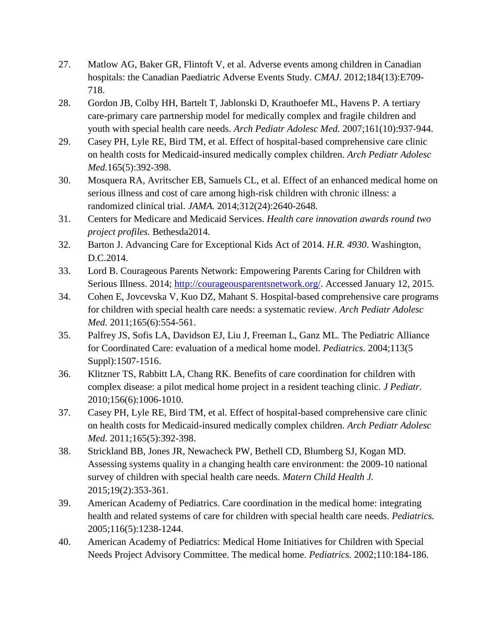- 27. Matlow AG, Baker GR, Flintoft V, et al. Adverse events among children in Canadian hospitals: the Canadian Paediatric Adverse Events Study. *CMAJ.* 2012;184(13):E709- 718.
- 28. Gordon JB, Colby HH, Bartelt T, Jablonski D, Krauthoefer ML, Havens P. A tertiary care-primary care partnership model for medically complex and fragile children and youth with special health care needs. *Arch Pediatr Adolesc Med.* 2007;161(10):937-944.
- 29. Casey PH, Lyle RE, Bird TM, et al. Effect of hospital-based comprehensive care clinic on health costs for Medicaid-insured medically complex children. *Arch Pediatr Adolesc Med.*165(5):392-398.
- 30. Mosquera RA, Avritscher EB, Samuels CL, et al. Effect of an enhanced medical home on serious illness and cost of care among high-risk children with chronic illness: a randomized clinical trial. *JAMA.* 2014;312(24):2640-2648.
- 31. Centers for Medicare and Medicaid Services. *Health care innovation awards round two project profiles.* Bethesda2014.
- 32. Barton J. Advancing Care for Exceptional Kids Act of 2014. *H.R. 4930*. Washington, D.C.2014.
- 33. Lord B. Courageous Parents Network: Empowering Parents Caring for Children with Serious Illness. 2014; [http://courageousparentsnetwork.org/.](http://courageousparentsnetwork.org/) Accessed January 12, 2015.
- 34. Cohen E, Jovcevska V, Kuo DZ, Mahant S. Hospital-based comprehensive care programs for children with special health care needs: a systematic review. *Arch Pediatr Adolesc Med.* 2011;165(6):554-561.
- 35. Palfrey JS, Sofis LA, Davidson EJ, Liu J, Freeman L, Ganz ML. The Pediatric Alliance for Coordinated Care: evaluation of a medical home model. *Pediatrics.* 2004;113(5 Suppl):1507-1516.
- 36. Klitzner TS, Rabbitt LA, Chang RK. Benefits of care coordination for children with complex disease: a pilot medical home project in a resident teaching clinic. *J Pediatr.*  2010;156(6):1006-1010.
- 37. Casey PH, Lyle RE, Bird TM, et al. Effect of hospital-based comprehensive care clinic on health costs for Medicaid-insured medically complex children. *Arch Pediatr Adolesc Med.* 2011;165(5):392-398.
- 38. Strickland BB, Jones JR, Newacheck PW, Bethell CD, Blumberg SJ, Kogan MD. Assessing systems quality in a changing health care environment: the 2009-10 national survey of children with special health care needs. *Matern Child Health J.*  2015;19(2):353-361.
- 39. American Academy of Pediatrics. Care coordination in the medical home: integrating health and related systems of care for children with special health care needs. *Pediatrics.*  2005;116(5):1238-1244.
- 40. American Academy of Pediatrics: Medical Home Initiatives for Children with Special Needs Project Advisory Committee. The medical home. *Pediatrics.* 2002;110:184-186.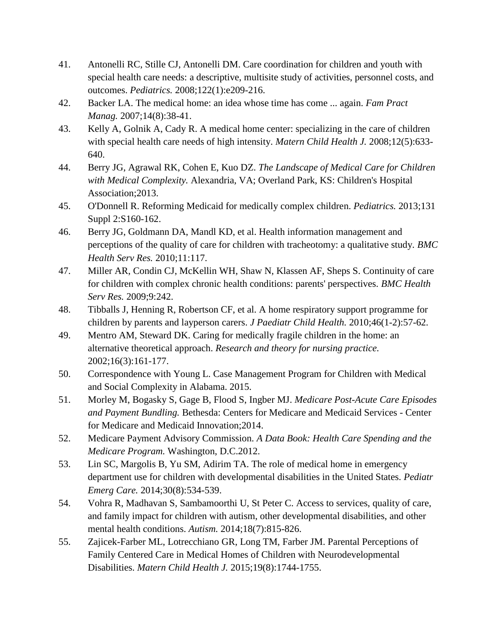- 41. Antonelli RC, Stille CJ, Antonelli DM. Care coordination for children and youth with special health care needs: a descriptive, multisite study of activities, personnel costs, and outcomes. *Pediatrics.* 2008;122(1):e209-216.
- 42. Backer LA. The medical home: an idea whose time has come ... again. *Fam Pract Manag.* 2007;14(8):38-41.
- 43. Kelly A, Golnik A, Cady R. A medical home center: specializing in the care of children with special health care needs of high intensity. *Matern Child Health J.* 2008;12(5):633- 640.
- 44. Berry JG, Agrawal RK, Cohen E, Kuo DZ. *The Landscape of Medical Care for Children with Medical Complexity.* Alexandria, VA; Overland Park, KS: Children's Hospital Association;2013.
- 45. O'Donnell R. Reforming Medicaid for medically complex children. *Pediatrics.* 2013;131 Suppl 2:S160-162.
- 46. Berry JG, Goldmann DA, Mandl KD, et al. Health information management and perceptions of the quality of care for children with tracheotomy: a qualitative study. *BMC Health Serv Res.* 2010;11:117.
- 47. Miller AR, Condin CJ, McKellin WH, Shaw N, Klassen AF, Sheps S. Continuity of care for children with complex chronic health conditions: parents' perspectives. *BMC Health Serv Res.* 2009;9:242.
- 48. Tibballs J, Henning R, Robertson CF, et al. A home respiratory support programme for children by parents and layperson carers. *J Paediatr Child Health.* 2010;46(1-2):57-62.
- 49. Mentro AM, Steward DK. Caring for medically fragile children in the home: an alternative theoretical approach. *Research and theory for nursing practice.*  2002;16(3):161-177.
- 50. Correspondence with Young L. Case Management Program for Children with Medical and Social Complexity in Alabama. 2015.
- 51. Morley M, Bogasky S, Gage B, Flood S, Ingber MJ. *Medicare Post-Acute Care Episodes and Payment Bundling.* Bethesda: Centers for Medicare and Medicaid Services - Center for Medicare and Medicaid Innovation;2014.
- 52. Medicare Payment Advisory Commission. *A Data Book: Health Care Spending and the Medicare Program.* Washington, D.C.2012.
- 53. Lin SC, Margolis B, Yu SM, Adirim TA. The role of medical home in emergency department use for children with developmental disabilities in the United States. *Pediatr Emerg Care.* 2014;30(8):534-539.
- 54. Vohra R, Madhavan S, Sambamoorthi U, St Peter C. Access to services, quality of care, and family impact for children with autism, other developmental disabilities, and other mental health conditions. *Autism.* 2014;18(7):815-826.
- 55. Zajicek-Farber ML, Lotrecchiano GR, Long TM, Farber JM. Parental Perceptions of Family Centered Care in Medical Homes of Children with Neurodevelopmental Disabilities. *Matern Child Health J.* 2015;19(8):1744-1755.